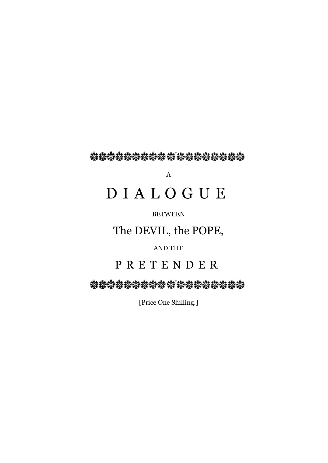经检验检验检检 按 经按检控控控控

A

# D I A L O G U E

# BETWEEN

# The DEVIL, the POPE,

# AND THE

# P R E T E N D E R

\*\*\*\*\*\*\*\*\*\*\*\*\*\*\*\*\*\*\*

[Price One Shilling.]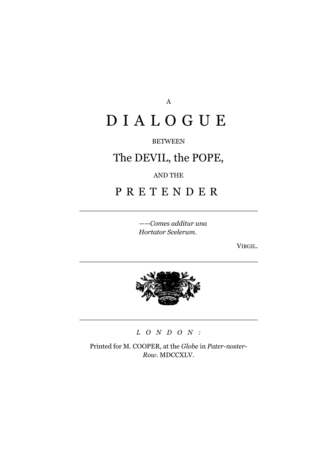A

# D I A L O G U E

# BETWEEN

# The DEVIL, the POPE,

# AND THE

# P R E T E N D E R

——*Comes additur una Hortator Scelerum*.

VIRGIL.



# *L O N D O N :*

Printed for M. COOPER, at the *Globe* in *Pater-noster*-*Row.* MDCCXLV.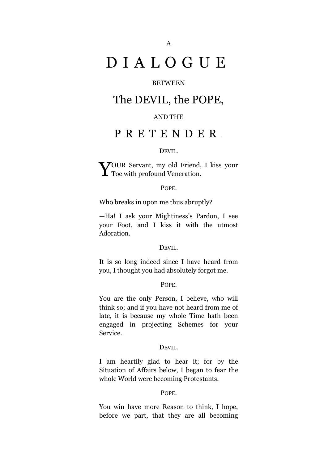# D I A L O G U E

# **BETWEEN**

# The DEVIL, the POPE,

# AND THE

# P R E T E N D E R .

#### DEVIL.

**70UR** Servant, my old Friend, I kiss your YOUR Servant, my old Friend,<br>Toe with profound Veneration.

#### POPE.

Who breaks in upon me thus abruptly?

—Ha! I ask your Mightiness's Pardon, I see your Foot, and I kiss it with the utmost Adoration.

#### DEVIL.

It is so long indeed since I have heard from you, I thought you had absolutely forgot me.

#### POPE.

You are the only Person, I believe, who will think so; and if you have not heard from me of late, it is because my whole Time hath been engaged in projecting Schemes for your Service.

#### DEVIL.

I am heartily glad to hear it; for by the Situation of Affairs below, I began to fear the whole World were becoming Protestants.

#### POPE.

You win have more Reason to think, I hope, before we part, that they are all becoming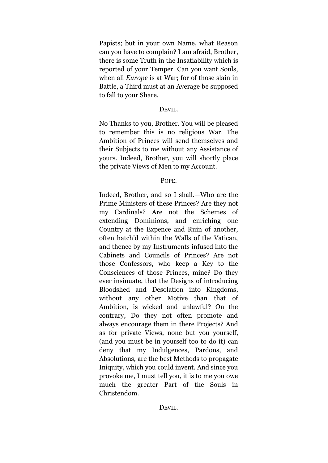Papists; but in your own Name, what Reason can you have to complain? I am afraid, Brother, there is some Truth in the Insatiability which is reported of your Temper. Can you want Souls, when all *Europe* is at War; for of those slain in Battle, a Third must at an Average be supposed to fall to your Share.

#### DEVIL.

No Thanks to you, Brother. You will be pleased to remember this is no religious War. The Ambition of Princes will send themselves and their Subjects to me without any Assistance of yours. Indeed, Brother, you will shortly place the private Views of Men to my Account.

#### POPE.

Indeed, Brother, and so I shall.—Who are the Prime Ministers of these Princes? Are they not my Cardinals? Are not the Schemes of extending Dominions, and enriching one Country at the Expence and Ruin of another, often hatch'd within the Walls of the Vatican, and thence by my Instruments infused into the Cabinets and Councils of Princes? Are not those Confessors, who keep a Key to the Consciences of those Princes, mine? Do they ever insinuate, that the Designs of introducing Bloodshed and Desolation into Kingdoms, without any other Motive than that of Ambition, is wicked and unlawful? On the contrary, Do they not often promote and always encourage them in there Projects? And as for private Views, none but you yourself, (and you must be in yourself too to do it) can deny that my Indulgences, Pardons, and Absolutions, are the best Methods to propagate Iniquity, which you could invent. And since you provoke me, I must tell you, it is to me you owe much the greater Part of the Souls in Christendom.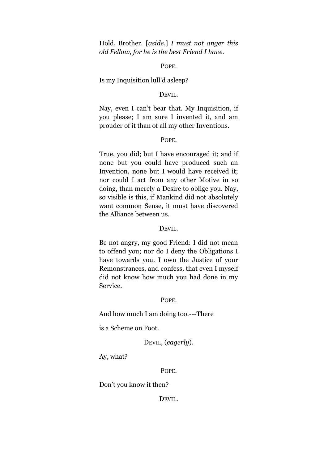Hold, Brother. [*aside*.] *I must not anger this old Fellow, for he is the best Friend I have*.

#### POPE.

#### Is my Inquisition lull'd asleep?

# DEVIL.

Nay, even I can't bear that. My Inquisition, if you please; I am sure I invented it, and am prouder of it than of all my other Inventions.

#### POPE.

True, you did; but I have encouraged it; and if none but you could have produced such an Invention, none but I would have received it; nor could I act from any other Motive in so doing, than merely a Desire to oblige you. Nay, so visible is this, if Mankind did not absolutely want common Sense, it must have discovered the Alliance between us.

#### DEVIL.

Be not angry, my good Friend: I did not mean to offend you; nor do I deny the Obligations I have towards you. I own the Justice of your Remonstrances, and confess, that even I myself did not know how much you had done in my Service.

#### POPE.

And how much I am doing too.---There

is a Scheme on Foot.

DEVIL, (*eagerly*).

Ay, what?

POPE.

Don't you know it then?

DEVIL.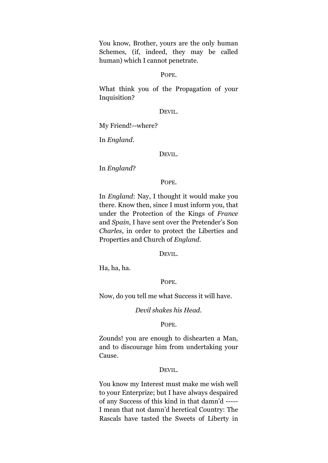You know, Brother, yours are the only human Schemes, (if, indeed, they may be called human) which I cannot penetrate.

#### POPE.

What think you of the Propagation of your Inquisition?

# DEVIL.

My Friend!--where?

In *England*.

#### DEVIL.

In *England*?

POPE.

In *England*: Nay, I thought it would make you there. Know then, since I must inform you, that under the Protection of the Kings of *France* and *Spain*, I have sent over the Pretender's Son *Charles*, in order to protect the Liberties and Properties and Church of *England.*

DEVIL.

Ha, ha, ha.

POPE.

Now, do you tell me what Success it will have.

*Devil shakes his Head.*

POPE.

Zounds! you are enough to dishearten a Man, and to discourage him from undertaking your Cause.

#### DEVIL.

You know my Interest must make me wish well to your Enterprize; but I have always despaired of any Success of this kind in that damn'd ----- I mean that not damn'd heretical Country: The Rascals have tasted the Sweets of Liberty in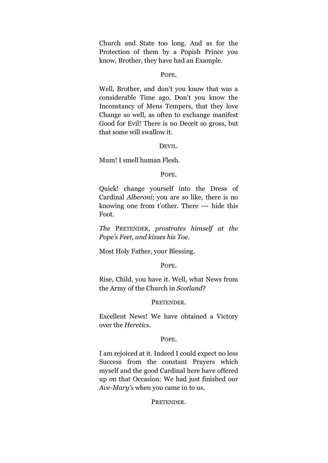Church and State too long. And as for the Protection of them by a Popish Prince you know, Brother, they have had an Example.

#### POPE.

Well, Brother, and don't you know that was a considerable Time ago. Don't you know the Inconstancy of Mens Tempers, that they love Change so well, as often to exchange manifest Good for Evil! There is no Deceit so gross, but that some will swallow it.

#### DEVIL.

Mum! I smell human Flesh.

#### POPE.

Quick! change yourself into the Dress of Cardinal *Alberoni*; you are so like, there is no knowing one from t'other. There --- hide this Foot.

*The* PRETENDER, *prostrates himself at the Pope's Feet, and kisses his Toe*.

Most Holy Father, your Blessing.

#### POPE.

Rise, Child, you have it. Well, what News from the Army of the Church in *Scotland*?

#### PRETENDER.

Excellent News! We have obtained a Victory over the *Heretics*.

#### POPE.

I am rejoiced at it. Indeed I could expect no less Success from the constant Prayers which myself and the good Cardinal here have offered up on that Occasion: We had just finished our *Ave-Mary's* when you came in to us.

# PRETENDER.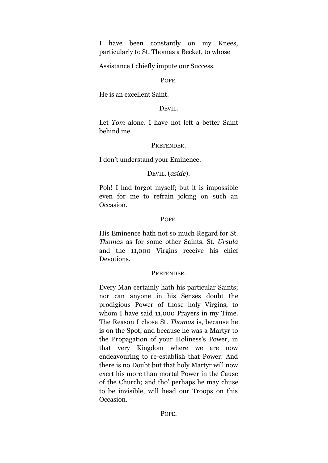I have been constantly on my Knees, particularly to St. Thomas a Becket, to whose

Assistance I chiefly impute our Success.

# POPE.

He is an excellent Saint.

# DEVIL.

Let *Tom* alone. I have not left a better Saint behind me.

# PRETENDER.

I don't understand your Eminence.

# DEVIL, (*aside*).

Poh! I had forgot myself; but it is impossible even for me to refrain joking on such an Occasion.

# POPE.

His Eminence hath not so much Regard for St. *Thomas* as for some other Saints. St. *Ursula* and the 11,000 Virgins receive his chief Devotions.

# PRETENDER.

Every Man certainly hath his particular Saints; nor can anyone in his Senses doubt the prodigious Power of those holy Virgins, to whom I have said 11,000 Prayers in my Time. The Reason I chose St. *Thomas* is, because he is on the Spot, and because he was a Martyr to the Propagation of your Holiness's Power, in that very Kingdom where we are now endeavouring to re-establish that Power: And there is no Doubt but that holy Martyr will now exert his more than mortal Power in the Cause of the Church; and tho' perhaps he may chuse to be invisible, will head our Troops on this Occasion.

POPE.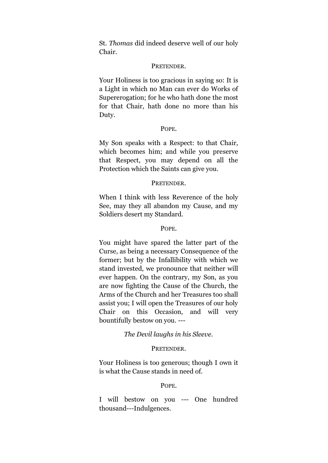St. *Thomas* did indeed deserve well of our holy Chair.

#### PRETENDER.

Your Holiness is too gracious in saying so: It is a Light in which no Man can ever do Works of Supererogation; for he who hath done the most for that Chair, hath done no more than his Duty.

#### POPE.

My Son speaks with a Respect: to that Chair, which becomes him; and while you preserve that Respect, you may depend on all the Protection which the Saints can give you.

#### PRETENDER.

When I think with less Reverence of the holy See, may they all abandon my Cause, and my Soldiers desert my Standard.

#### POPE.

You might have spared the latter part of the Curse, as being a necessary Consequence of the former; but by the Infallibility with which we stand invested, we pronounce that neither will ever happen. On the contrary, my Son, as you are now fighting the Cause of the Church, the Arms of the Church and her Treasures too shall assist you; I will open the Treasures of our holy Chair on this Occasion, and will very bountifully bestow on you. ---

# *The Devil laughs in his Sleeve.*

#### PRETENDER.

Your Holiness is too generous; though I own it is what the Cause stands in need of.

#### POPE.

I will bestow on you --- One hundred thousand---Indulgences.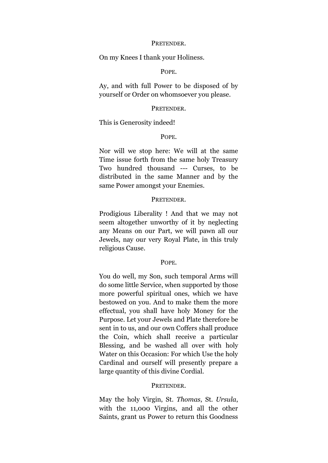#### PRETENDER.

On my Knees I thank your Holiness.

# POPE.

Ay, and with full Power to be disposed of by yourself or Order on whomsoever you please.

#### PRETENDER.

This is Generosity indeed!

#### POPE.

Nor will we stop here: We will at the same Time issue forth from the same holy Treasury Two hundred thousand --- Curses, to be distributed in the same Manner and by the same Power amongst your Enemies.

#### PRETENDER.

Prodigious Liberality ! And that we may not seem altogether unworthy of it by neglecting any Means on our Part, we will pawn all our Jewels, nay our very Royal Plate, in this truly religious Cause.

#### POPE.

You do well, my Son, such temporal Arms will do some little Service, when supported by those more powerful spiritual ones, which we have bestowed on you. And to make them the more effectual, you shall have holy Money for the Purpose. Let your Jewels and Plate therefore be sent in to us, and our own Coffers shall produce the Coin, which shall receive a particular Blessing, and be washed all over with holy Water on this Occasion: For which Use the holy Cardinal and ourself will presently prepare a large quantity of this divine Cordial.

#### PRETENDER.

May the holy Virgin, St. *Thomas*, St. *Ursula*, with the 11,000 Virgins, and all the other Saints, grant us Power to return this Goodness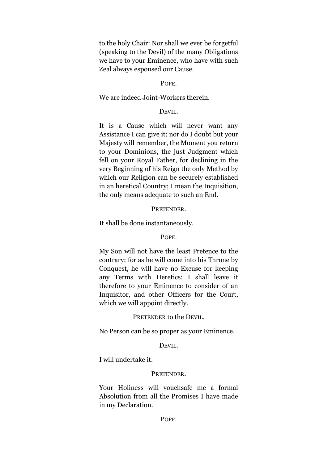to the holy Chair: Nor shall we ever be forgetful (speaking to the Devil) of the many Obligations we have to your Eminence, who have with such Zeal always espoused our Cause.

# POPE.

#### We are indeed Joint-Workers therein.

# DEVIL.

It is a Cause which will never want any Assistance I can give it; nor do I doubt but your Majesty will remember, the Moment you return to your Dominions, the just Judgment which fell on your Royal Father, for declining in the very Beginning of his Reign the only Method by which our Religion can be securely established in an heretical Country; I mean the Inquisition, the only means adequate to such an End.

PRETENDER.

It shall be done instantaneously.

#### POPE.

My Son will not have the least Pretence to the contrary; for as he will come into his Throne by Conquest, he will have no Excuse for keeping any Terms with Heretics: I shall leave it therefore to your Eminence to consider of an Inquisitor, and other Officers for the Court, which we will appoint directly.

#### PRETENDER to the DEVIL.

No Person can be so proper as your Eminence.

#### DEVIL.

I will undertake it.

#### PRETENDER.

Your Holiness will vouchsafe me a formal Absolution from all the Promises I have made in my Declaration.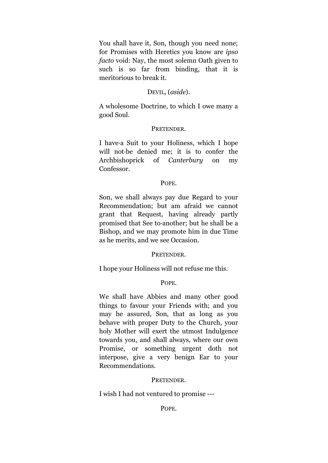You shall have it, Son, though you need none; for Promises with Heretics you know are *ipso facto* void: Nay, the most solemn Oath given to such is so far from binding, that it is meritorious to break it.

# DEVIL, (*aside*).

A wholesome Doctrine, to which I owe many a good Soul.

#### PRETENDER.

I have·a Suit to your Holiness, which I hope will not·be denied me; it is to confer the Archbishoprick of *Canterbury* on my Confessor.

#### POPE.

Son, we shall always pay due Regard to your Recommendation; but am afraid we cannot grant that Request, having already partly promised that See to·another; but he shall be a Bishop, and we may promote him in due Time as he merits, and we see Occasion.

#### PRETENDER.

I hope your Holiness will not refuse me this.

#### POPE.

We shall have Abbies and many other good things to favour your Friends with; and you may be assured, Son, that as long as you behave with proper Duty to the Church, your holy Mother will exert the utmost Indulgence towards you, and shall always, where our own Promise, or something urgent doth not interpose, give a very benign Ear to your Recommendations.

#### PRETENDER.

I wish I had not ventured to promise ---

# POPE.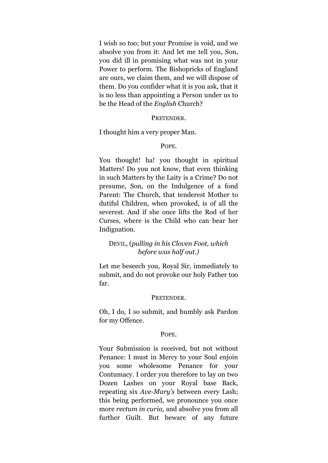I wish so too; but your Promise is void, and we absolve you from it: And let me tell you, Son, you did ill in promising what was not in your Power to perform. The Bishopricks of England are ours, we claim them, and we will dispose of them. Do you confider what it is you ask, that it is no less than appointing a Person under us to be the Head of the *English* Church?

#### **PRETENDER**

#### I thought him a very proper Man.

#### POPE.

You thought! ha! you thought in spiritual Matters! Do you not know, that even thinking in such Matters by the Laity is a Crime? Do not presume, Son, on the Indulgence of a fond Parent: The Church, that tenderest Mother to dutiful Children, when provoked, is of all the severest. And if she once lifts the Rod of her Curses, where is the Child who can bear her Indignation.

# DEVIL, (*pulling in his Cloven Foot, which before was half out.)*

Let me beseech you, Royal Sir, immediately to submit, and do not provoke our holy Father too far.

#### PRETENDER.

Oh, I do, I so submit, and humbly ask Pardon for my Offence.

#### POPE.

Your Submission is received, but not without Penance: I must in Mercy to your Soul enjoin you some wholesome Penance for your Contumacy. I order you therefore to lay on two Dozen Lashes on your Royal base Back, repeating six *Ave-Mary's* between every Lash; this being performed, we pronounce you once more *rectum in curia*, and absolve you from all further Guilt. But beware of any future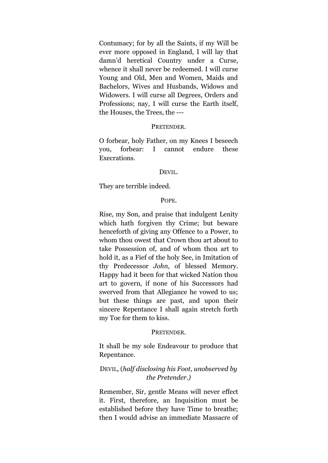Contumacy; for by all the Saints, if my Will be ever more opposed in England, I will lay that damn'd heretical Country under a Curse, whence it shall never be redeemed. I will curse Young and Old, Men and Women, Maids and Bachelors, Wives and Husbands, Widows and Widowers. I will curse all Degrees, Orders and Professions; nay, I will curse the Earth itself, the Houses, the Trees, the ---

#### PRETENDER.

O forbear, holy Father, on my Knees I beseech you, forbear: I cannot endure these Execrations.

#### DEVIL.

They are terrible indeed.

#### POPE.

Rise, my Son, and praise that indulgent Lenity which hath forgiven thy Crime; but beware henceforth of giving any Offence to a Power, to whom thou owest that Crown thou art about to take Possession of, and of whom thou art to hold it, as a Fief of the holy See, in Imitation of thy Predecessor *John*, of blessed Memory. Happy had it been for that wicked Nation thou art to govern, if none of his Successors had swerved from that Allegiance he vowed to us; but these things are past, and upon their sincere Repentance I shall again stretch forth my Toe for them to kiss.

# PRETENDER.

It shall be my sole Endeavour to produce that Repentance.

# DEVIL, (*half disclosing his Foot, unobserved by the Pretender.)*

Remember, Sir, gentle Means will never effect it. First, therefore, an Inquisition must be established before they have Time to breathe; then I would advise an immediate Massacre of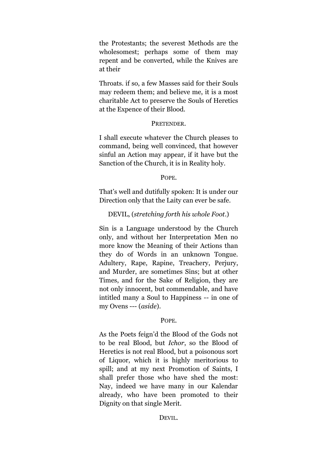the Protestants; the severest Methods are the wholesomest; perhaps some of them may repent and be converted, while the Knives are at their

Throats. if so, a few Masses said for their Souls may redeem them; and believe me, it is a most charitable Act to preserve the Souls of Heretics at the Expence of their Blood.

# PRETENDER.

I shall execute whatever the Church pleases to command, being well convinced, that however sinful an Action may appear, if it have but the Sanction of the Church, it is in Reality holy.

POPE.

That's well and dutifully spoken: It is under our Direction only that the Laity can ever be safe.

# DEVIL, (*stretching forth his whole Foot*.)

Sin is a Language understood by the Church only, and without her Interpretation Men no more know the Meaning of their Actions than they do of Words in an unknown Tongue. Adultery, Rape, Rapine, Treachery, Perjury, and Murder, are sometimes Sins; but at other Times, and for the Sake of Religion, they are not only innocent, but commendable, and have intitled many a Soul to Happiness -- in one of my Ovens --- (*aside*).

# POPE.

As the Poets feign'd the Blood of the Gods not to be real Blood, but *Ichor*, so the Blood of Heretics is not real Blood, but a poisonous sort of Liquor, which it is highly meritorious to spill; and at my next Promotion of Saints, I shall prefer those who have shed the most: Nay, indeed we have many in our Kalendar already, who have been promoted to their Dignity on that single Merit.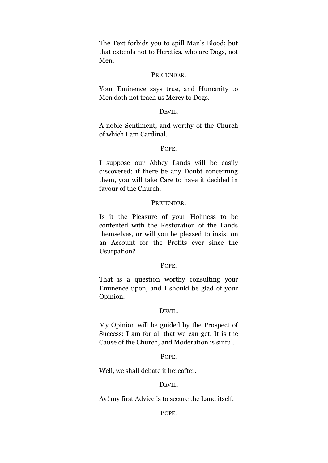The Text forbids you to spill Man's Blood; but that extends not to Heretics, who are Dogs, not Men.

#### PRETENDER.

Your Eminence says true, and Humanity to Men doth not teach us Mercy to Dogs.

# DEVIL.

A noble Sentiment, and worthy of the Church of which I am Cardinal.

# POPE.

I suppose our Abbey Lands will be easily discovered; if there be any Doubt concerning them, you will take Care to have it decided in favour of the Church.

#### **PRETENDER**

Is it the Pleasure of your Holiness to be contented with the Restoration of the Lands themselves, or will you be pleased to insist on an Account for the Profits ever since the Usurpation?

#### POPE.

That is a question worthy consulting your Eminence upon, and I should be glad of your Opinion.

#### DEVIL.

My Opinion will be guided by the Prospect of Success: I am for all that we can get. It is the Cause of the Church, and Moderation is sinful.

#### POPE.

Well, we shall debate it hereafter.

#### DEVIL.

Ay! my first Advice is to secure the Land itself.

POPE.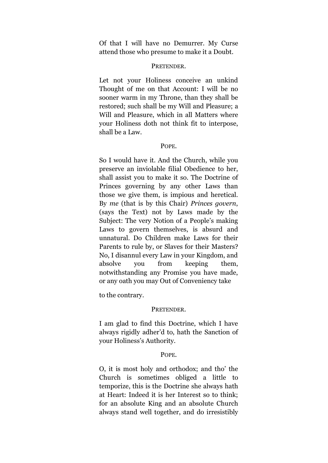Of that I will have no Demurrer. My Curse attend those who presume to make it a Doubt.

#### PRETENDER.

Let not your Holiness conceive an unkind Thought of me on that Account: I will be no sooner warm in my Throne, than they shall be restored; such shall be my Will and Pleasure; a Will and Pleasure, which in all Matters where your Holiness doth not think fit to interpose, shall be a Law.

#### POPE.

So I would have it. And the Church, while you preserve an inviolable filial Obedience to her, shall assist you to make it so. The Doctrine of Princes governing by any other Laws than those we give them, is impious and heretical. By *me* (that is by this Chair) *Princes govern*, (says the Text) not by Laws made by the Subject: The very Notion of a People's making Laws to govern themselves, is absurd and unnatural. Do Children make Laws for their Parents to rule by, or Slaves for their Masters? No, I disannul every Law in your Kingdom, and absolve you from keeping them, notwithstanding any Promise you have made, or any oath you may Out of Conveniency take

to the contrary.

# PRETENDER.

I am glad to find this Doctrine, which I have always rigidly adher'd to, hath the Sanction of your Holiness's Authority.

# POPE.

O, it is most holy and orthodox; and tho' the Church is sometimes obliged a little to temporize, this is the Doctrine she always hath at Heart: Indeed it is her Interest so to think; for an absolute King and an absolute Church always stand well together, and do irresistibly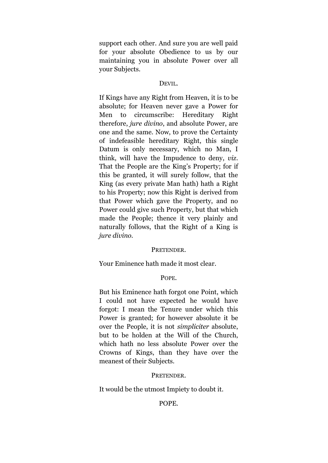support each other. And sure you are well paid for your absolute Obedience to us by our maintaining you in absolute Power over all your Subjects.

#### DEVIL.

If Kings have any Right from Heaven, it is to be absolute; for Heaven never gave a Power for Men to circumscribe: Hereditary Right therefore, *jure divino*, and absolute Power, are one and the same. Now, to prove the Certainty of indefeasible hereditary Right, this single Datum is only necessary, which no Man, I think, will have the Impudence to deny, *viz*. That the People are the King's Property; for if this be granted, it will surely follow, that the King (as every private Man hath) hath a Right to his Property; now this Right is derived from that Power which gave the Property, and no Power could give such Property, but that which made the People; thence it very plainly and naturally follows, that the Right of a King is *jure divino*.

# PRETENDER.

Your Eminence hath made it most clear.

#### POPE.

But his Eminence hath forgot one Point, which I could not have expected he would have forgot: I mean the Tenure under which this Power is granted; for however absolute it be over the People, it is not *simpliciter* absolute, but to be holden at the Will of the Church, which hath no less absolute Power over the Crowns of Kings, than they have over the meanest of their Subjects.

#### PRETENDER.

It would be the utmost Impiety to doubt it.

# POPE.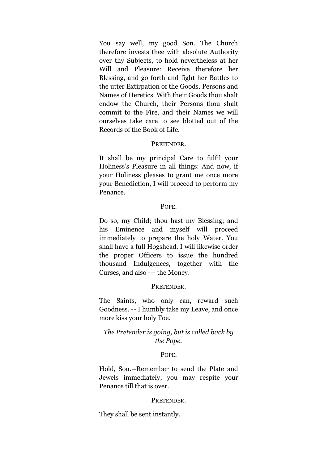You say well, my good Son. The Church therefore invests thee with absolute Authority over thy Subjects, to hold nevertheless at her Will and Pleasure: Receive therefore her Blessing, and go forth and fight her Battles to the utter Extirpation of the Goods, Persons and Names of Heretics. With their Goods thou shalt endow the Church, their Persons thou shalt commit to the Fire, and their Names we will ourselves take care to see blotted out of the Records of the Book of Life.

# PRETENDER.

It shall be my principal Care to fulfil your Holiness's Pleasure in all things: And now, if your Holiness pleases to grant me once more your Benediction, I will proceed to perform my Penance.

# POPE.

Do so, my Child; thou hast my Blessing; and his Eminence and myself will proceed immediately to prepare the holy Water. You shall have a full Hogshead. I will likewise order the proper Officers to issue the hundred thousand Indulgences, together with the Curses, and also --- the Money.

# PRETENDER.

The Saints, who only can, reward such Goodness. -- I humbly take my Leave, and once more kiss your holy Toe.

# *The Pretender is going, but is called back by the Pope.*

# POPE.

Hold, Son.--Remember to send the Plate and Jewels immediately; you may respite your Penance till that is over.

# PRETENDER.

They shall be sent instantly.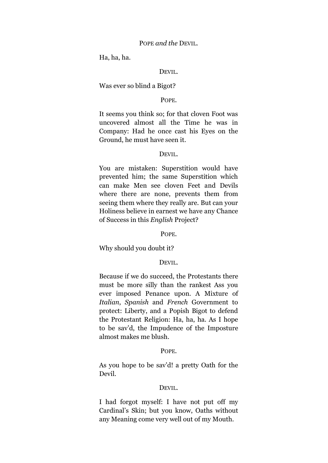#### POPE *and the* DEVIL.

Ha, ha, ha.

# DEVIL.

#### Was ever so blind a Bigot?

# POPE.

It seems you think so; for that cloven Foot was uncovered almost all the Time he was in Company: Had he once cast his Eyes on the Ground, he must have seen it.

#### DEVIL.

You are mistaken: Superstition would have prevented him; the same Superstition which can make Men see cloven Feet and Devils where there are none, prevents them from seeing them where they really are. But can your Holiness believe in earnest we have any Chance of Success in this *English* Project?

#### POPE.

#### Why should you doubt it?

#### DEVIL.

Because if we do succeed, the Protestants there must be more silly than the rankest Ass you ever imposed Penance upon. A Mixture of *Italian*, *Spanish* and *French* Government to protect: Liberty, and a Popish Bigot to defend the Protestant Religion: Ha, ha, ha. As I hope to be sav'd, the Impudence of the Imposture almost makes me blush.

#### POPE.

As you hope to be sav'd! a pretty Oath for the Devil.

#### DEVIL.

I had forgot myself: I have not put off my Cardinal's Skin; but you know, Oaths without any Meaning come very well out of my Mouth.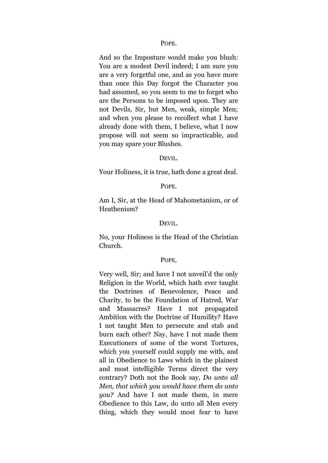#### POPE.

And so the Imposture would make you blush: You are a modest Devil indeed; I am sure you are a very forgetful one, and as you have more than once this Day forgot the Character you had assumed, so you seem to me to forget who are the Persons to be imposed upon. They are not Devils, Sir, but Men, weak, simple Men; and when you please to recollect what I have already done with them, I believe, what I now propose will not seem so impracticable, and you may spare your Blushes.

#### DEVIL.

Your Holiness, it is true, hath done a great deal.

#### POPE.

Am I, Sir, at the Head of Mahometanism, or of Heathenism?

#### DEVIL.

No, your Holiness is the Head of the Christian Church.

#### POPE.

Very well, Sir; and have I not unveil'd the only Religion in the World, which hath ever taught the Doctrines of Benevolence, Peace and Charity, to be the Foundation of Hatred, War and Massacres? Have I not propagated Ambition with the Doctrine of Humility? Have I not taught Men to persecute and stab and burn each other? Nay, have I not made them Executioners of some of the worst Tortures, which you yourself could supply me with, and all in Obedience to Laws which in the plainest and most intelligible Terms direct the very contrary? Doth not the Book say, *Do unto all Men, that which you would have them do unto you?* And have I not made them, in mere Obedience to this Law, do unto all Men every thing, which they would most fear to have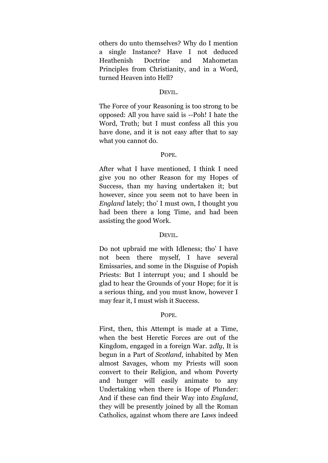others do unto themselves? Why do I mention a single Instance? Have I not deduced Heathenish Doctrine and Mahometan Principles from Christianity, and in a Word, turned Heaven into Hell?

# DEVIL.

The Force of your Reasoning is too strong to be opposed: All you have said is --Poh! I hate the Word, Truth; but I must confess all this you have done, and it is not easy after that to say what you cannot do.

# POPE.

After what I have mentioned, I think I need give you no other Reason for my Hopes of Success, than my having undertaken it; but however, since you seem not to have been in *England* lately; tho' I must own, I thought you had been there a long Time, and had been assisting the good Work.

# DEVIL.

Do not upbraid me with Idleness; tho' I have not been there myself, I have several Emissaries, and some in the Disguise of Popish Priests: But I interrupt you; and I should be glad to hear the Grounds of your Hope; for it is a serious thing, and you must know, however I may fear it, I must wish it Success.

# POPE.

First, then, this Attempt is made at a Time, when the best Heretic Forces are out of the Kingdom, engaged in a foreign War. 2*dly*, It is begun in a Part of *Scotland*, inhabited by Men almost Savages, whom my Priests will soon convert to their Religion, and whom Poverty and hunger will easily animate to any Undertaking when there is Hope of Plunder: And if these can find their Way into *England*, they will be presently joined by all the Roman Catholics, against whom there are Laws indeed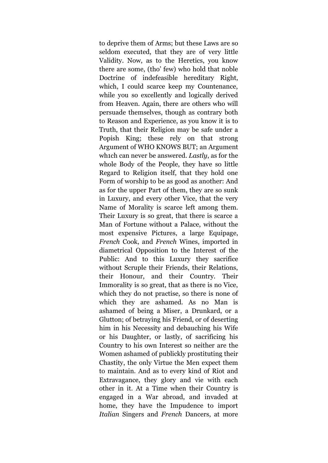to deprive them of Arms; but these Laws are so seldom executed, that they are of very little Validity. Now, as to the Heretics, you know there are some, (tho' few) who hold that noble Doctrine of indefeasible hereditary Right, which, I could scarce keep my Countenance, while you so excellently and logically derived from Heaven. Again, there are others who will persuade themselves, though as contrary both to Reason and Experience, as you know it is to Truth, that their Religion may be safe under a Popish King; these rely on that strong Argument of WHO KNOWS BUT; an Argument wh1ch can never be answered. *Lastly*, as for the whole Body of the People, they have so little Regard to Religion itself, that they hold one Form of worship to be as good as another: And as for the upper Part of them, they are so sunk in Luxury, and every other Vice, that the very Name of Morality is scarce left among them. Their Luxury is so great, that there is scarce a Man of Fortune without a Palace, without the most expensive Pictures, a large Equipage, *French* Cook, and *French* Wines, imported in diametrical Opposition to the Interest of the Public: And to this Luxury they sacrifice without Scruple their Friends, their Relations, their Honour, and their Country. Their Immorality is so great, that as there is no Vice, which they do not practise, so there is none of which they are ashamed. As no Man is ashamed of being a Miser, a Drunkard, or a Glutton; of betraying his Friend, or of deserting him in his Necessity and debauching his Wife or his Daughter, or lastly, of sacrificing his Country to his own Interest so neither are the Women ashamed of publickly prostituting their Chastity, the only Virtue the Men expect them to maintain. And as to every kind of Riot and Extravagance, they glory and vie with each other in it. At a Time when their Country is engaged in a War abroad, and invaded at home, they have the Impudence to import *Italian* Singers and *French* Dancers, at more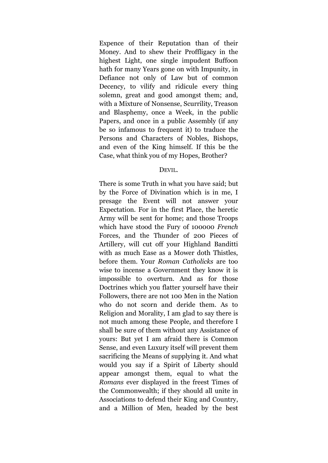Expence of their Reputation than of their Money. And to shew their Proffligacy in the highest Light, one single impudent Buffoon hath for many Years gone on with Impunity, in Defiance not only of Law but of common Decency, to vilify and ridicule every thing solemn, great and good amongst them; and, with a Mixture of Nonsense, Scurrility, Treason and Blasphemy, once a Week, in the public Papers, and once in a public Assembly (if any be so infamous to frequent it) to traduce the Persons and Characters of Nobles, Bishops, and even of the King himself. If this be the Case, what think you of my Hopes, Brother?

#### DEVIL.

There is some Truth in what you have said; but by the Force of Divination which is in me, I presage the Event will not answer your Expectation. For in the first Place, the heretic Army will be sent for home; and those Troops which have stood the Fury of 100000 *French* Forces, and the Thunder of 200 Pieces of Artillery, will cut off your Highland Banditti with as much Ease as a Mower doth Thistles, before them. Your *Roman Catholicks* are too wise to incense a Government they know it is impossible to overturn. And as for those Doctrines which you flatter yourself have their Followers, there are not 100 Men in the Nation who do not scorn and deride them. As to Religion and Morality, I am glad to say there is not much among these People, and therefore I shall be sure of them without any Assistance of yours: But yet I am afraid there is Common Sense, and even Luxury itself will prevent them sacrificing the Means of supplying it. And what would you say if a Spirit of Liberty should appear amongst them, equal to what the *Romans* ever displayed in the freest Times of the Commonwealth; if they should all unite in Associations to defend their King and Country, and a Million of Men, headed by the best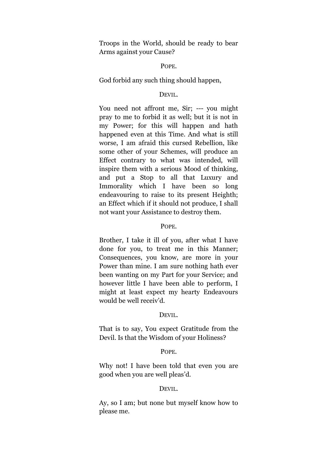Troops in the World, should be ready to bear Arms against your Cause?

#### POPE.

God forbid any such thing should happen,

# DEVIL.

You need not affront me, Sir; --- you might pray to me to forbid it as well; but it is not in my Power; for this will happen and hath happened even at this Time. And what is still worse, I am afraid this cursed Rebellion, like some other of your Schemes, will produce an Effect contrary to what was intended, will inspire them with a serious Mood of thinking, and put a Stop to all that Luxury and Immorality which I have been so long endeavouring to raise to its present Heighth; an Effect which if it should not produce, I shall not want your Assistance to destroy them.

# POPE.

Brother, I take it ill of you, after what I have done for you, to treat me in this Manner; Consequences, you know, are more in your Power than mine. I am sure nothing hath ever been wanting on my Part for your Service; and however little I have been able to perform, I might at least expect my hearty Endeavours would be well receiv'd.

#### DEVIL.

That is to say, You expect Gratitude from the Devil. Is that the Wisdom of your Holiness?

# POPE.

Why not! I have been told that even you are good when you are well pleas'd.

#### DEVIL.

Ay, so I am; but none but myself know how to please me.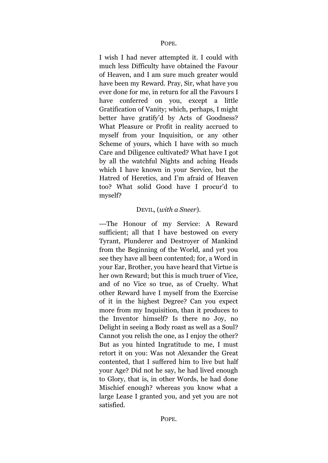I wish I had never attempted it. I could with much less Difficulty have obtained the Favour of Heaven, and I am sure much greater would have been my Reward. Pray, Sir, what have you ever done for me, in return for all the Favours I have conferred on you, except a little Gratification of Vanity; which, perhaps, I might better have gratify'd by Acts of Goodness? What Pleasure or Profit in reality accrued to myself from your Inquisition, or any other Scheme of yours, which I have with so much Care and Diligence cultivated? What have I got by all the watchful Nights and aching Heads which I have known in your Service, but the Hatred of Heretics, and I'm afraid of Heaven too? What solid Good have I procur'd to myself?

# DEVIL, (*with a Sneer*).

---The Honour of my Service: A Reward sufficient; all that I have bestowed on every Tyrant, Plunderer and Destroyer of Mankind from the Beginning of the World, and yet you see they have all been contented; for, a Word in your Ear, Brother, you have heard that Virtue is her own Reward; but this is much truer of Vice, and of no Vice so true, as of Cruelty. What other Reward have I myself from the Exercise of it in the highest Degree? Can you expect more from my Inquisition, than it produces to the Inventor himself? Is there no Joy, no Delight in seeing a Body roast as well as a Soul? Cannot you relish the one, as I enjoy the other? But as you hinted Ingratitude to me, I must retort it on you: Was not Alexander the Great contented, that I suffered him to live but half your Age? Did not he say, he had lived enough to Glory, that is, in other Words, he had done Mischief enough? whereas you know what a large Lease I granted you, and yet you are not satisfied.